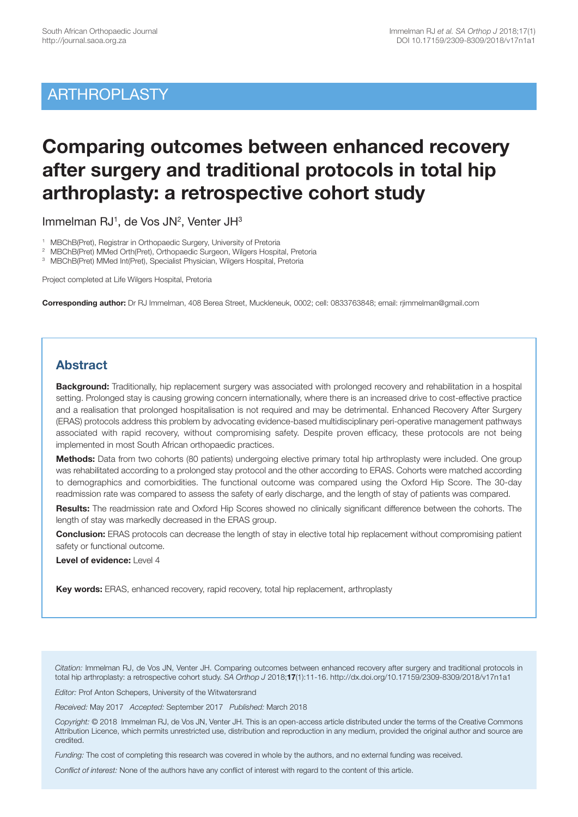## ARTHROPLASTY

# **Comparing outcomes between enhanced recovery after surgery and traditional protocols in total hip arthroplasty: a retrospective cohort study**

Immelman RJ<sup>1</sup>, de Vos JN<sup>2</sup>, Venter JH<sup>3</sup>

1 MBChB(Pret), Registrar in Orthopaedic Surgery, University of Pretoria

2 MBChB(Pret) MMed Orth(Pret), Orthopaedic Surgeon, Wilgers Hospital, Pretoria

3 MBChB(Pret) MMed Int(Pret), Specialist Physician, Wilgers Hospital, Pretoria

Project completed at Life Wilgers Hospital, Pretoria

**Corresponding author:** Dr RJ Immelman, 408 Berea Street, Muckleneuk, 0002; cell: 0833763848; email: rjimmelman@gmail.com

## **Abstract**

**Background:** Traditionally, hip replacement surgery was associated with prolonged recovery and rehabilitation in a hospital setting. Prolonged stay is causing growing concern internationally, where there is an increased drive to cost-effective practice and a realisation that prolonged hospitalisation is not required and may be detrimental. Enhanced Recovery After Surgery (ERAS) protocols address this problem by advocating evidence-based multidisciplinary peri-operative management pathways associated with rapid recovery, without compromising safety. Despite proven efficacy, these protocols are not being implemented in most South African orthopaedic practices.

**Methods:** Data from two cohorts (80 patients) undergoing elective primary total hip arthroplasty were included. One group was rehabilitated according to a prolonged stay protocol and the other according to ERAS. Cohorts were matched according to demographics and comorbidities. The functional outcome was compared using the Oxford Hip Score. The 30-day readmission rate was compared to assess the safety of early discharge, and the length of stay of patients was compared.

**Results:** The readmission rate and Oxford Hip Scores showed no clinically significant difference between the cohorts. The length of stay was markedly decreased in the ERAS group.

**Conclusion:** ERAS protocols can decrease the length of stay in elective total hip replacement without compromising patient safety or functional outcome.

**Level of evidence:** Level 4

**Key words:** ERAS, enhanced recovery, rapid recovery, total hip replacement, arthroplasty

*Citation:* Immelman RJ, de Vos JN, Venter JH. Comparing outcomes between enhanced recovery after surgery and traditional protocols in total hip arthroplasty: a retrospective cohort study. *SA Orthop J* 2018;**17**(1):11-16. http://dx.doi.org/10.17159/2309-8309/2018/v17n1a1

*Editor:* Prof Anton Schepers, University of the Witwatersrand

*Received:* May 2017 *Accepted:* September 2017 *Published:* March 2018

*Copyright:* © 2018 Immelman RJ, de Vos JN, Venter JH. This is an open-access article distributed under the terms of the Creative Commons Attribution Licence, which permits unrestricted use, distribution and reproduction in any medium, provided the original author and source are credited.

*Funding:* The cost of completing this research was covered in whole by the authors, and no external funding was received.

*Conflict of interest:* None of the authors have any conflict of interest with regard to the content of this article.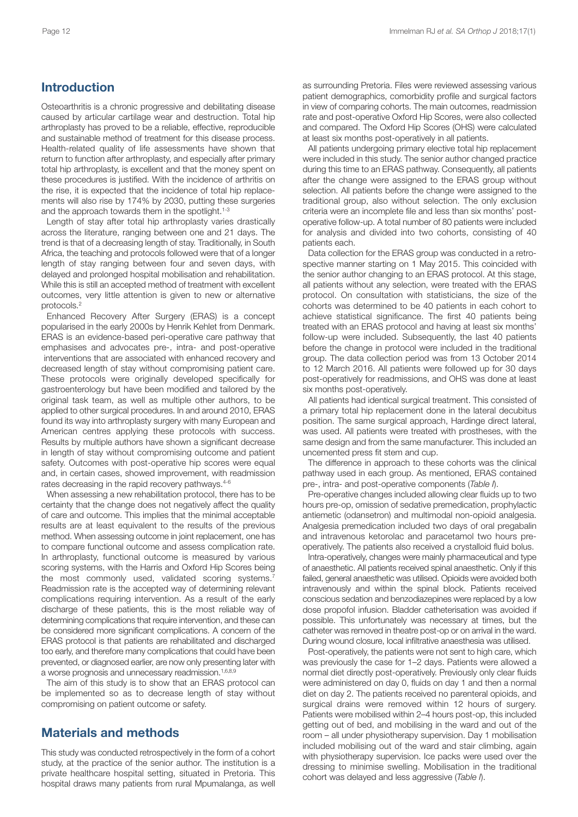## **Introduction**

Osteoarthritis is a chronic progressive and debilitating disease caused by articular cartilage wear and destruction. Total hip arthroplasty has proved to be a reliable, effective, reproducible and sustainable method of treatment for this disease process. Health-related quality of life assessments have shown that return to function after arthroplasty, and especially after primary total hip arthroplasty, is excellent and that the money spent on these procedures is justified. With the incidence of arthritis on the rise, it is expected that the incidence of total hip replacements will also rise by 174% by 2030, putting these surgeries and the approach towards them in the spotlight. 1-3

Length of stay after total hip arthroplasty varies drastically across the literature, ranging between one and 21 days. The trend is that of a decreasing length of stay. Traditionally, in South Africa, the teaching and protocols followed were that of a longer length of stay ranging between four and seven days, with delayed and prolonged hospital mobilisation and rehabilitation. While this is still an accepted method of treatment with excellent outcomes, very little attention is given to new or alternative protocols. 2

Enhanced Recovery After Surgery (ERAS) is a concept popularised in the early 2000s by Henrik Kehlet from Denmark. ERAS is an evidence-based peri-operative care pathway that emphasises and advocates pre-, intra- and post-operative interventions that are associated with enhanced recovery and decreased length of stay without compromising patient care. These protocols were originally developed specifically for gastroenterology but have been modified and tailored by the original task team, as well as multiple other authors, to be applied to other surgical procedures. In and around 2010, ERAS found its way into arthroplasty surgery with many European and American centres applying these protocols with success. Results by multiple authors have shown a significant decrease in length of stay without compromising outcome and patient safety. Outcomes with post-operative hip scores were equal and, in certain cases, showed improvement, with readmission rates decreasing in the rapid recovery pathways. 4-6

When assessing a new rehabilitation protocol, there has to be certainty that the change does not negatively affect the quality of care and outcome. This implies that the minimal acceptable results are at least equivalent to the results of the previous method. When assessing outcome in joint replacement, one has to compare functional outcome and assess complication rate. In arthroplasty, functional outcome is measured by various scoring systems, with the Harris and Oxford Hip Scores being the most commonly used, validated scoring systems.<sup>7</sup> Readmission rate is the accepted way of determining relevant complications requiring intervention. As a result of the early discharge of these patients, this is the most reliable way of determining complications that require intervention, and these can be considered more significant complications. A concern of the ERAS protocol is that patients are rehabilitated and discharged too early, and therefore many complications that could have been prevented, or diagnosed earlier, are now only presenting later with a worse prognosis and unnecessary readmission. 1,6,8,9

The aim of this study is to show that an ERAS protocol can be implemented so as to decrease length of stay without compromising on patient outcome or safety.

## **Materials and methods**

This study was conducted retrospectively in the form of a cohort study, at the practice of the senior author. The institution is a private healthcare hospital setting, situated in Pretoria. This hospital draws many patients from rural Mpumalanga, as well as surrounding Pretoria. Files were reviewed assessing various patient demographics, comorbidity profile and surgical factors in view of comparing cohorts. The main outcomes, readmission rate and post-operative Oxford Hip Scores, were also collected and compared. The Oxford Hip Scores (OHS) were calculated at least six months post-operatively in all patients.

All patients undergoing primary elective total hip replacement were included in this study. The senior author changed practice during this time to an ERAS pathway. Consequently, all patients after the change were assigned to the ERAS group without selection. All patients before the change were assigned to the traditional group, also without selection. The only exclusion criteria were an incomplete file and less than six months' postoperative follow-up. A total number of 80 patients were included for analysis and divided into two cohorts, consisting of 40 patients each.

Data collection for the ERAS group was conducted in a retrospective manner starting on 1 May 2015. This coincided with the senior author changing to an ERAS protocol. At this stage, all patients without any selection, were treated with the ERAS protocol. On consultation with statisticians, the size of the cohorts was determined to be 40 patients in each cohort to achieve statistical significance. The first 40 patients being treated with an ERAS protocol and having at least six months' follow-up were included. Subsequently, the last 40 patients before the change in protocol were included in the traditional group. The data collection period was from 13 October 2014 to 12 March 2016. All patients were followed up for 30 days post-operatively for readmissions, and OHS was done at least six months post-operatively.

All patients had identical surgical treatment. This consisted of a primary total hip replacement done in the lateral decubitus position. The same surgical approach, Hardinge direct lateral, was used. All patients were treated with prostheses, with the same design and from the same manufacturer. This included an uncemented press fit stem and cup.

The difference in approach to these cohorts was the clinical pathway used in each group. As mentioned, ERAS contained pre-, intra- and post-operative components (*Table I*).

Pre-operative changes included allowing clear fluids up to two hours pre-op, omission of sedative premedication, prophylactic antiemetic (odansetron) and multimodal non-opioid analgesia. Analgesia premedication included two days of oral pregabalin and intravenous ketorolac and paracetamol two hours preoperatively. The patients also received a crystalloid fluid bolus.

Intra-operatively, changes were mainly pharmaceutical and type of anaesthetic. All patients received spinal anaesthetic. Only if this failed, general anaesthetic was utilised. Opioids were avoided both intravenously and within the spinal block. Patients received conscious sedation and benzodiazepines were replaced by a low dose propofol infusion. Bladder catheterisation was avoided if possible. This unfortunately was necessary at times, but the catheter was removed in theatre post-op or on arrival in the ward. During wound closure, local infiltrative anaesthesia was utilised.

Post-operatively, the patients were not sent to high care, which was previously the case for 1–2 days. Patients were allowed a normal diet directly post-operatively. Previously only clear fluids were administered on day 0, fluids on day 1 and then a normal diet on day 2. The patients received no parenteral opioids, and surgical drains were removed within 12 hours of surgery. Patients were mobilised within 2–4 hours post-op, this included getting out of bed, and mobilising in the ward and out of the room – all under physiotherapy supervision. Day 1 mobilisation included mobilising out of the ward and stair climbing, again with physiotherapy supervision. Ice packs were used over the dressing to minimise swelling. Mobilisation in the traditional cohort was delayed and less aggressive (*Table I*).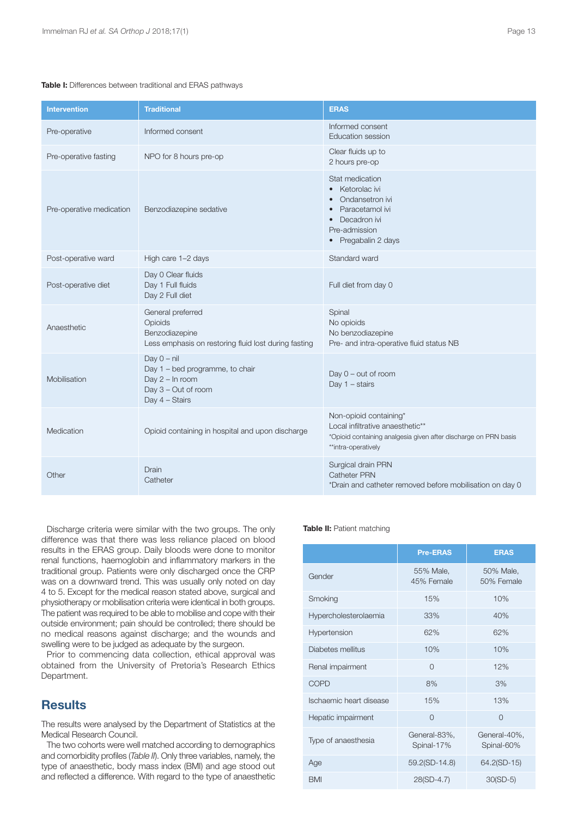#### **Table I:** Differences between traditional and ERAS pathways

| <b>Intervention</b>      | <b>Traditional</b>                                                                                              | <b>ERAS</b>                                                                                                                                          |
|--------------------------|-----------------------------------------------------------------------------------------------------------------|------------------------------------------------------------------------------------------------------------------------------------------------------|
| Pre-operative            | Informed consent                                                                                                | Informed consent<br><b>Education session</b>                                                                                                         |
| Pre-operative fasting    | NPO for 8 hours pre-op                                                                                          | Clear fluids up to<br>2 hours pre-op                                                                                                                 |
| Pre-operative medication | Benzodiazepine sedative                                                                                         | Stat medication<br>Ketorolac ivi<br>Ondansetron ivi<br>Paracetamol ivi<br>Decadron ivi<br>Pre-admission<br>• Pregabalin 2 days                       |
| Post-operative ward      | High care 1-2 days                                                                                              | Standard ward                                                                                                                                        |
| Post-operative diet      | Day 0 Clear fluids<br>Day 1 Full fluids<br>Day 2 Full diet                                                      | Full diet from day 0                                                                                                                                 |
| Anaesthetic              | General preferred<br>Opioids<br>Benzodiazepine<br>Less emphasis on restoring fluid lost during fasting          | Spinal<br>No opioids<br>No benzodiazepine<br>Pre- and intra-operative fluid status NB                                                                |
| Mobilisation             | Day $0 - nil$<br>Day 1 - bed programme, to chair<br>Day $2 - \ln$ room<br>Day 3 - Out of room<br>Day 4 - Stairs | Day $0$ – out of room<br>Day $1 -$ stairs                                                                                                            |
| Medication               | Opioid containing in hospital and upon discharge                                                                | Non-opioid containing*<br>Local infiltrative anaesthetic**<br>*Opioid containing analgesia given after discharge on PRN basis<br>**intra-operatively |
| Other                    | Drain<br>Catheter                                                                                               | Surgical drain PRN<br>Catheter PRN<br>*Drain and catheter removed before mobilisation on day 0                                                       |

Discharge criteria were similar with the two groups. The only difference was that there was less reliance placed on blood results in the ERAS group. Daily bloods were done to monitor renal functions, haemoglobin and inflammatory markers in the traditional group. Patients were only discharged once the CRP was on a downward trend. This was usually only noted on day 4 to 5. Except for the medical reason stated above, surgical and physiotherapy or mobilisation criteria were identical in both groups. The patient was required to be able to mobilise and cope with their outside environment; pain should be controlled; there should be no medical reasons against discharge; and the wounds and swelling were to be judged as adequate by the surgeon.

Prior to commencing data collection, ethical approval was obtained from the University of Pretoria's Research Ethics Department.

## **Results**

The results were analysed by the Department of Statistics at the Medical Research Council.

The two cohorts were well matched according to demographics and comorbidity profiles (*Table II*). Only three variables, namely, the type of anaesthetic, body mass index (BMI) and age stood out and reflected a difference. With regard to the type of anaesthetic

#### **Table II:** Patient matching

|                         | <b>Pre-ERAS</b>            | <b>ERAS</b>                |
|-------------------------|----------------------------|----------------------------|
| Gender                  | 55% Male,<br>45% Female    | 50% Male,<br>50% Female    |
| Smoking                 | 15%                        | 10%                        |
| Hypercholesterolaemia   | 33%                        | 40%                        |
| Hypertension            | 62%                        | 62%                        |
| Diabetes mellitus       | 10%                        | 10%                        |
| Renal impairment        | $\Omega$                   | 12%                        |
| <b>COPD</b>             | 8%                         | 3%                         |
| Ischaemic heart disease | 15%                        | 13%                        |
| Hepatic impairment      | $\Omega$                   | $\Omega$                   |
| Type of anaesthesia     | General-83%,<br>Spinal-17% | General-40%,<br>Spinal-60% |
| Age                     | 59.2(SD-14.8)              | 64.2(SD-15)                |
| <b>BMI</b>              | 28(SD-4.7)                 | $30(SD-5)$                 |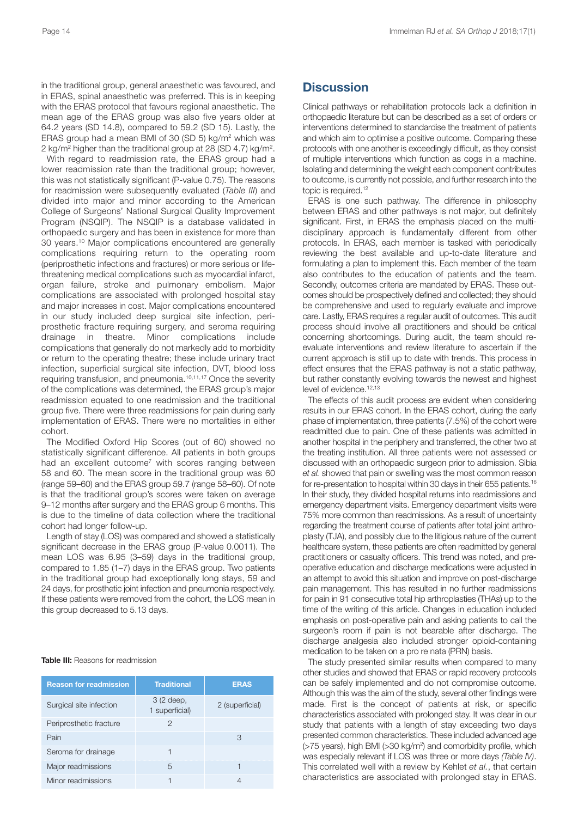in the traditional group, general anaesthetic was favoured, and in ERAS, spinal anaesthetic was preferred. This is in keeping with the ERAS protocol that favours regional anaesthetic. The mean age of the ERAS group was also five years older at 64.2 years (SD 14.8), compared to 59.2 (SD 15). Lastly, the ERAS group had a mean BMI of 30 (SD 5) kg/m2 which was 2 kg/m2 higher than the traditional group at 28 (SD 4.7) kg/m2.

With regard to readmission rate, the ERAS group had a lower readmission rate than the traditional group; however, this was not statistically significant (P-value 0.75). The reasons for readmission were subsequently evaluated (*Table III*) and divided into major and minor according to the American College of Surgeons' National Surgical Quality Improvement Program (NSQIP). The NSQIP is a database validated in orthopaedic surgery and has been in existence for more than 30 years. <sup>10</sup> Major complications encountered are generally complications requiring return to the operating room (periprosthetic infections and fractures) or more serious or lifethreatening medical complications such as myocardial infarct, organ failure, stroke and pulmonary embolism. Major complications are associated with prolonged hospital stay and major increases in cost. Major complications encountered in our study included deep surgical site infection, periprosthetic fracture requiring surgery, and seroma requiring drainage in theatre. Minor complications include complications that generally do not markedly add to morbidity or return to the operating theatre; these include urinary tract infection, superficial surgical site infection, DVT, blood loss requiring transfusion, and pneumonia. 10,11,17 Once the severity of the complications was determined, the ERAS group's major readmission equated to one readmission and the traditional group five. There were three readmissions for pain during early implementation of ERAS. There were no mortalities in either cohort.

The Modified Oxford Hip Scores (out of 60) showed no statistically significant difference. All patients in both groups had an excellent outcome<sup>7</sup> with scores ranging between 58 and 60. The mean score in the traditional group was 60 (range 59–60) and the ERAS group 59.7 (range 58–60). Of note is that the traditional group's scores were taken on average 9–12 months after surgery and the ERAS group 6 months. This is due to the timeline of data collection where the traditional cohort had longer follow-up.

Length of stay (LOS) was compared and showed a statistically significant decrease in the ERAS group (P-value 0.0011). The mean LOS was 6.95 (3–59) days in the traditional group, compared to 1.85 (1–7) days in the ERAS group. Two patients in the traditional group had exceptionally long stays, 59 and 24 days, for prosthetic joint infection and pneumonia respectively. If these patients were removed from the cohort, the LOS mean in this group decreased to 5.13 days.

#### **Table III:** Reasons for readmission

| <b>Reason for readmission</b> | <b>Traditional</b>           | <b>ERAS</b>     |
|-------------------------------|------------------------------|-----------------|
| Surgical site infection       | 3 (2 deep,<br>1 superficial) | 2 (superficial) |
| Periprosthetic fracture       | 2                            |                 |
| Pain                          |                              | З               |
| Seroma for drainage           |                              |                 |
| Major readmissions            | 5                            |                 |
| Minor readmissions            |                              |                 |

## **Discussion**

Clinical pathways or rehabilitation protocols lack a definition in orthopaedic literature but can be described as a set of orders or interventions determined to standardise the treatment of patients and which aim to optimise a positive outcome. Comparing these protocols with one another is exceedingly difficult, as they consist of multiple interventions which function as cogs in a machine. Isolating and determining the weight each component contributes to outcome, is currently not possible, and further research into the topic is required. 12

ERAS is one such pathway. The difference in philosophy between ERAS and other pathways is not major, but definitely significant. First, in ERAS the emphasis placed on the multidisciplinary approach is fundamentally different from other protocols. In ERAS, each member is tasked with periodically reviewing the best available and up-to-date literature and formulating a plan to implement this. Each member of the team also contributes to the education of patients and the team. Secondly, outcomes criteria are mandated by ERAS. These outcomes should be prospectively defined and collected; they should be comprehensive and used to regularly evaluate and improve care. Lastly, ERAS requires a regular audit of outcomes. This audit process should involve all practitioners and should be critical concerning shortcomings. During audit, the team should reevaluate interventions and review literature to ascertain if the current approach is still up to date with trends. This process in effect ensures that the ERAS pathway is not a static pathway, but rather constantly evolving towards the newest and highest level of evidence. 12,13

The effects of this audit process are evident when considering results in our ERAS cohort. In the ERAS cohort, during the early phase of implementation, three patients (7.5%) of the cohort were readmitted due to pain. One of these patients was admitted in another hospital in the periphery and transferred, the other two at the treating institution. All three patients were not assessed or discussed with an orthopaedic surgeon prior to admission. Sibia *et al.* showed that pain or swelling was the most common reason for re-presentation to hospital within 30 days in their 655 patients.<sup>16</sup> In their study, they divided hospital returns into readmissions and emergency department visits. Emergency department visits were 75% more common than readmissions. As a result of uncertainty regarding the treatment course of patients after total joint arthroplasty (TJA), and possibly due to the litigious nature of the current healthcare system, these patients are often readmitted by general practitioners or casualty officers. This trend was noted, and preoperative education and discharge medications were adjusted in an attempt to avoid this situation and improve on post-discharge pain management. This has resulted in no further readmissions for pain in 91 consecutive total hip arthroplasties (THAs) up to the time of the writing of this article. Changes in education included emphasis on post-operative pain and asking patients to call the surgeon's room if pain is not bearable after discharge. The discharge analgesia also included stronger opioid-containing medication to be taken on a pro re nata (PRN) basis.

The study presented similar results when compared to many other studies and showed that ERAS or rapid recovery protocols can be safely implemented and do not compromise outcome. Although this was the aim of the study, several other findings were made. First is the concept of patients at risk, or specific characteristics associated with prolonged stay. It was clear in our study that patients with a length of stay exceeding two days presented common characteristics. These included advanced age (>75 years), high BMI (>30 kg/m<sup>2</sup>) and comorbidity profile, which was especially relevant if LOS was three or more days *(Table IV)*. This correlated well with a review by Kehlet *et al.*, that certain characteristics are associated with prolonged stay in ERAS.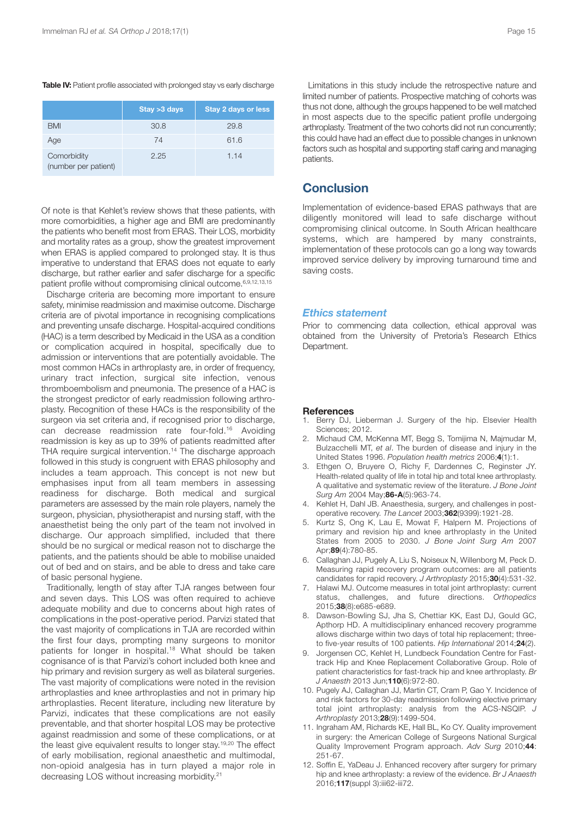#### **Table IV:** Patient profile associated with prolonged stay vs early discharge

|                                     | Stay > 3 days | <b>Stay 2 days or less</b> |
|-------------------------------------|---------------|----------------------------|
| <b>BMI</b>                          | 30.8          | 29.8                       |
| Age                                 | 74            | 61.6                       |
| Comorbidity<br>(number per patient) | 2.25          | 1.14                       |

Of note is that Kehlet's review shows that these patients, with more comorbidities, a higher age and BMI are predominantly the patients who benefit most from ERAS. Their LOS, morbidity and mortality rates as a group, show the greatest improvement when ERAS is applied compared to prolonged stay. It is thus imperative to understand that ERAS does not equate to early discharge, but rather earlier and safer discharge for a specific patient profile without compromising clinical outcome. 6,9,12,13,15

Discharge criteria are becoming more important to ensure safety, minimise readmission and maximise outcome. Discharge criteria are of pivotal importance in recognising complications and preventing unsafe discharge. Hospital-acquired conditions (HAC) is a term described by Medicaid in the USA as a condition or complication acquired in hospital, specifically due to admission or interventions that are potentially avoidable. The most common HACs in arthroplasty are, in order of frequency, urinary tract infection, surgical site infection, venous thromboembolism and pneumonia. The presence of a HAC is the strongest predictor of early readmission following arthroplasty. Recognition of these HACs is the responsibility of the surgeon via set criteria and, if recognised prior to discharge, can decrease readmission rate four-fold. <sup>16</sup> Avoiding readmission is key as up to 39% of patients readmitted after THA require surgical intervention. <sup>14</sup> The discharge approach followed in this study is congruent with ERAS philosophy and includes a team approach. This concept is not new but emphasises input from all team members in assessing readiness for discharge. Both medical and surgical parameters are assessed by the main role players, namely the surgeon, physician, physiotherapist and nursing staff, with the anaesthetist being the only part of the team not involved in discharge. Our approach simplified, included that there should be no surgical or medical reason not to discharge the patients, and the patients should be able to mobilise unaided out of bed and on stairs, and be able to dress and take care of basic personal hygiene.

Traditionally, length of stay after TJA ranges between four and seven days. This LOS was often required to achieve adequate mobility and due to concerns about high rates of complications in the post-operative period. Parvizi stated that the vast majority of complications in TJA are recorded within the first four days, prompting many surgeons to monitor patients for longer in hospital. <sup>18</sup> What should be taken cognisance of is that Parvizi's cohort included both knee and hip primary and revision surgery as well as bilateral surgeries. The vast majority of complications were noted in the revision arthroplasties and knee arthroplasties and not in primary hip arthroplasties. Recent literature, including new literature by Parvizi, indicates that these complications are not easily preventable, and that shorter hospital LOS may be protective against readmission and some of these complications, or at the least give equivalent results to longer stay.<sup>19,20</sup> The effect of early mobilisation, regional anaesthetic and multimodal, non-opioid analgesia has in turn played a major role in decreasing LOS without increasing morbidity. 21

Limitations in this study include the retrospective nature and limited number of patients. Prospective matching of cohorts was thus not done, although the groups happened to be well matched in most aspects due to the specific patient profile undergoing arthroplasty. Treatment of the two cohorts did not run concurrently; this could have had an effect due to possible changes in unknown factors such as hospital and supporting staff caring and managing patients.

### **Conclusion**

Implementation of evidence-based ERAS pathways that are diligently monitored will lead to safe discharge without compromising clinical outcome. In South African healthcare systems, which are hampered by many constraints, implementation of these protocols can go a long way towards improved service delivery by improving turnaround time and saving costs.

#### *Ethics statement*

Prior to commencing data collection, ethical approval was obtained from the University of Pretoria's Research Ethics Department.

#### **References**

- Berry DJ, Lieberman J. Surgery of the hip. Elsevier Health Sciences; 2012.
- 2. Michaud CM, McKenna MT, Begg S, Tomijima N, Majmudar M, Bulzacchelli MT, *et al*. The burden of disease and injury in the United States 1996. *Population health metrics* 2006;**4**(1):1.
- 3. Ethgen O, Bruyere O, Richy F, Dardennes C, Reginster JY. Health-related quality of life in total hip and total knee arthroplasty. A qualitative and systematic review of the literature. *J Bone Joint Surg Am* 2004 May;**86-A**(5):963-74.
- 4. Kehlet H, Dahl JB. Anaesthesia, surgery, and challenges in postoperative recovery. *The Lancet* 2003;**362**(9399):1921-28.
- 5. Kurtz S, Ong K, Lau E, Mowat F, Halpern M. Projections of primary and revision hip and knee arthroplasty in the United States from 2005 to 2030. *J Bone Joint Surg Am* 2007 Apr;**89**(4):780-85.
- 6. Callaghan JJ, Pugely A, Liu S, Noiseux N, Willenborg M, Peck D. Measuring rapid recovery program outcomes: are all patients candidates for rapid recovery. *J Arthroplasty* 2015;**30**(4):531-32.
- 7. Halawi MJ. Outcome measures in total joint arthroplasty: current status, challenges, and future directions. *Orthopedics* 2015;**38**(8):e685-e689.
- 8. Dawson-Bowling SJ, Jha S, Chettiar KK, East DJ, Gould GC, Apthorp HD. A multidisciplinary enhanced recovery programme allows discharge within two days of total hip replacement; threeto five-year results of 100 patients. *Hip International* 2014;**24**(2).
- 9. Jorgensen CC, Kehlet H, Lundbeck Foundation Centre for Fasttrack Hip and Knee Replacement Collaborative Group. Role of patient characteristics for fast-track hip and knee arthroplasty. *Br J Anaesth* 2013 Jun;**110**(6):972-80.
- 10. Pugely AJ, Callaghan JJ, Martin CT, Cram P, Gao Y. Incidence of and risk factors for 30-day readmission following elective primary total joint arthroplasty: analysis from the ACS-NSQIP. *J Arthroplasty* 2013;**28**(9):1499-504.
- 11. Ingraham AM, Richards KE, Hall BL, Ko CY. Quality improvement in surgery: the American College of Surgeons National Surgical Quality Improvement Program approach. *Adv Surg* 2010;**44**: 251-67.
- 12. Soffin E, YaDeau J. Enhanced recovery after surgery for primary hip and knee arthroplasty: a review of the evidence. *Br J Anaesth* 2016;**117**(suppl 3):iii62-iii72.